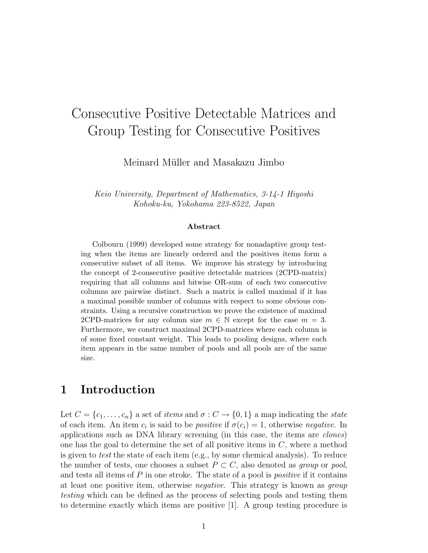# Consecutive Positive Detectable Matrices and Group Testing for Consecutive Positives

Meinard Müller and Masakazu Jimbo

Keio University, Department of Mathematics, 3-14-1 Hiyoshi Kohoku-ku, Yokohama 223-8522, Japan

#### Abstract

Colbourn (1999) developed some strategy for nonadaptive group testing when the items are linearly ordered and the positives items form a consecutive subset of all items. We improve his strategy by introducing the concept of 2-consecutive positive detectable matrices (2CPD-matrix) requiring that all columns and bitwise OR-sum of each two consecutive columns are pairwise distinct. Such a matrix is called maximal if it has a maximal possible number of columns with respect to some obvious constraints. Using a recursive construction we prove the existence of maximal 2CPD-matrices for any column size  $m \in \mathbb{N}$  except for the case  $m = 3$ . Furthermore, we construct maximal 2CPD-matrices where each column is of some fixed constant weight. This leads to pooling designs, where each item appears in the same number of pools and all pools are of the same size.

### 1 Introduction

Let  $C = \{c_1, \ldots, c_n\}$  a set of *items* and  $\sigma : C \to \{0, 1\}$  a map indicating the *state* of each item. An item  $c_i$  is said to be *positive* if  $\sigma(c_i) = 1$ , otherwise *negative*. In applications such as DNA library screening (in this case, the items are clones) one has the goal to determine the set of all positive items in  $C$ , where a method is given to test the state of each item (e.g., by some chemical analysis). To reduce the number of tests, one chooses a subset  $P \subset C$ , also denoted as group or pool, and tests all items of  $P$  in one stroke. The state of a pool is *positive* if it contains at least one positive item, otherwise negative. This strategy is known as group testing which can be defined as the process of selecting pools and testing them to determine exactly which items are positive [1]. A group testing procedure is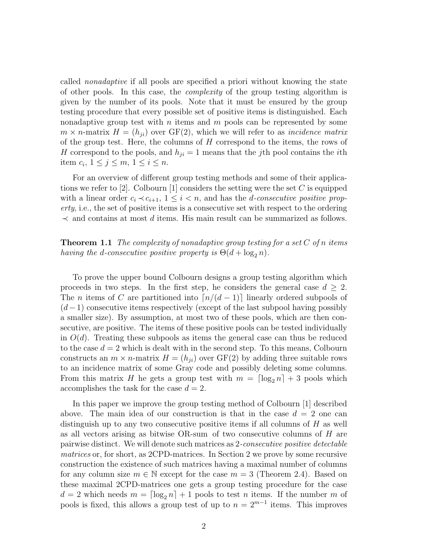called nonadaptive if all pools are specified a priori without knowing the state of other pools. In this case, the complexity of the group testing algorithm is given by the number of its pools. Note that it must be ensured by the group testing procedure that every possible set of positive items is distinguished. Each nonadaptive group test with  $n$  items and  $m$  pools can be represented by some  $m \times n$ -matrix  $H = (h_{ji})$  over GF(2), which we will refer to as *incidence matrix* of the group test. Here, the columns of  $H$  correspond to the items, the rows of H correspond to the pools, and  $h_{ji} = 1$  means that the jth pool contains the *i*th item  $c_i, 1 \leq j \leq m, 1 \leq i \leq n$ .

For an overview of different group testing methods and some of their applications we refer to [2]. Colbourn [1] considers the setting were the set C is equipped with a linear order  $c_i \prec c_{i+1}$ ,  $1 \leq i \leq n$ , and has the *d*-consecutive positive property, i.e., the set of positive items is a consecutive set with respect to the ordering  $\prec$  and contains at most d items. His main result can be summarized as follows.

**Theorem 1.1** The complexity of nonadaptive group testing for a set  $C$  of n items having the d-consecutive positive property is  $\Theta(d + \log_2 n)$ .

To prove the upper bound Colbourn designs a group testing algorithm which proceeds in two steps. In the first step, he considers the general case  $d \geq 2$ . The *n* items of C are partitioned into  $\lceil n/(d-1) \rceil$  linearly ordered subpools of  $(d-1)$  consecutive items respectively (except of the last subpool having possibly a smaller size). By assumption, at most two of these pools, which are then consecutive, are positive. The items of these positive pools can be tested individually in  $O(d)$ . Treating these subpools as items the general case can thus be reduced to the case  $d = 2$  which is dealt with in the second step. To this means, Colbourn constructs an  $m \times n$ -matrix  $H = (h_{ii})$  over GF(2) by adding three suitable rows to an incidence matrix of some Gray code and possibly deleting some columns. From this matrix H he gets a group test with  $m = \lceil \log_2 n \rceil + 3$  pools which accomplishes the task for the case  $d = 2$ .

In this paper we improve the group testing method of Colbourn [1] described above. The main idea of our construction is that in the case  $d = 2$  one can distinguish up to any two consecutive positive items if all columns of  $H$  as well as all vectors arising as bitwise OR-sum of two consecutive columns of H are pairwise distinct. We will denote such matrices as 2-consecutive positive detectable matrices or, for short, as 2CPD-matrices. In Section 2 we prove by some recursive construction the existence of such matrices having a maximal number of columns for any column size  $m \in \mathbb{N}$  except for the case  $m = 3$  (Theorem 2.4). Based on these maximal 2CPD-matrices one gets a group testing procedure for the case  $d = 2$  which needs  $m = \lceil \log_2 n \rceil + 1$  pools to test n items. If the number m of pools is fixed, this allows a group test of up to  $n = 2^{m-1}$  items. This improves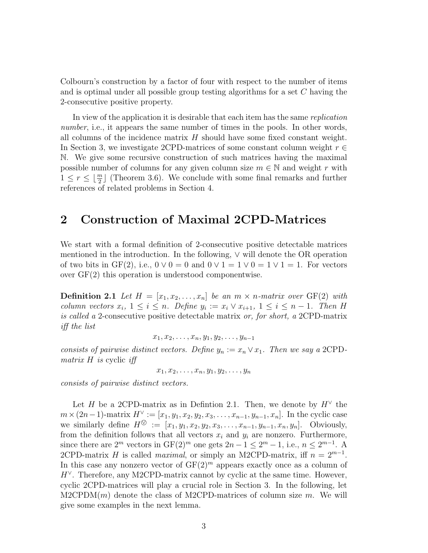Colbourn's construction by a factor of four with respect to the number of items and is optimal under all possible group testing algorithms for a set C having the 2-consecutive positive property.

In view of the application it is desirable that each item has the same replication number, i.e., it appears the same number of times in the pools. In other words, all columns of the incidence matrix  $H$  should have some fixed constant weight. In Section 3, we investigate 2CPD-matrices of some constant column weight  $r \in$ N. We give some recursive construction of such matrices having the maximal possible number of columns for any given column size  $m \in \mathbb{N}$  and weight r with  $1 \leq r \leq \lfloor \frac{m}{2} \rfloor$  (Theorem 3.6). We conclude with some final remarks and further references of related problems in Section 4.

## 2 Construction of Maximal 2CPD-Matrices

We start with a formal definition of 2-consecutive positive detectable matrices mentioned in the introduction. In the following, ∨ will denote the OR operation of two bits in GF(2), i.e.,  $0 \vee 0 = 0$  and  $0 \vee 1 = 1 \vee 0 = 1 \vee 1 = 1$ . For vectors over GF(2) this operation is understood componentwise.

**Definition 2.1** Let  $H = [x_1, x_2, \ldots, x_n]$  be an  $m \times n$ -matrix over GF(2) with column vectors  $x_i$ ,  $1 \leq i \leq n$ . Define  $y_i := x_i \vee x_{i+1}$ ,  $1 \leq i \leq n-1$ . Then H is called a 2-consecutive positive detectable matrix or, for short, a 2CPD-matrix iff the list

$$
x_1, x_2, \ldots, x_n, y_1, y_2, \ldots, y_{n-1}
$$

consists of pairwise distinct vectors. Define  $y_n := x_n \vee x_1$ . Then we say a 2CPDmatrix  $H$  is cyclic iff

 $x_1, x_2, \ldots, x_n, y_1, y_2, \ldots, y_n$ 

consists of pairwise distinct vectors.

Let H be a 2CPD-matrix as in Defintion 2.1. Then, we denote by  $H^{\vee}$  the  $m \times (2n-1)$ -matrix  $H^{\vee} := [x_1, y_1, x_2, y_2, x_3, \ldots, x_{n-1}, y_{n-1}, x_n]$ . In the cyclic case we similarly define  $H^{\otimes} := [x_1, y_1, x_2, y_2, x_3, \ldots, x_{n-1}, y_{n-1}, x_n, y_n].$  Obviously, from the definition follows that all vectors  $x_i$  and  $y_i$  are nonzero. Furthermore, since there are  $2^m$  vectors in  $GF(2)^m$  one gets  $2n - 1 \leq 2^m - 1$ , i.e.,  $n \leq 2^{m-1}$ . A 2CPD-matrix H is called maximal, or simply an M2CPD-matrix, iff  $n = 2^{m-1}$ . In this case any nonzero vector of  $GF(2)<sup>m</sup>$  appears exactly once as a column of  $H^{\vee}$ . Therefore, any M2CPD-matrix cannot by cyclic at the same time. However, cyclic 2CPD-matrices will play a crucial role in Section 3. In the following, let  $M2CPDM(m)$  denote the class of M2CPD-matrices of column size m. We will give some examples in the next lemma.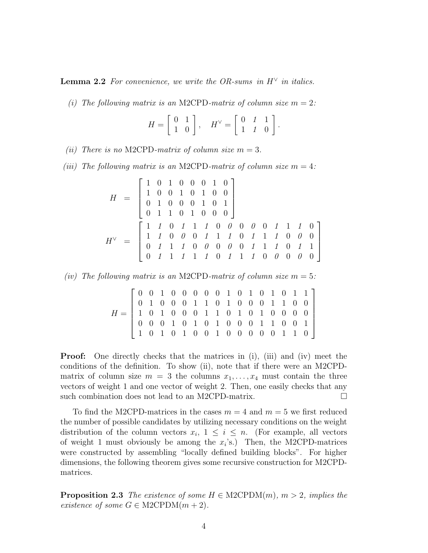**Lemma 2.2** For convenience, we write the OR-sums in  $H^{\vee}$  in italics.

(i) The following matrix is an M2CPD-matrix of column size  $m = 2$ :

$$
H = \left[ \begin{array}{cc} 0 & 1 \\ 1 & 0 \end{array} \right], \quad H^{\vee} = \left[ \begin{array}{cc} 0 & 1 & 1 \\ 1 & 1 & 0 \end{array} \right].
$$

- (ii) There is no M2CPD-matrix of column size  $m = 3$ .
- (iii) The following matrix is an M2CPD-matrix of column size  $m = 4$ :

$$
H = \begin{bmatrix} 1 & 0 & 1 & 0 & 0 & 0 & 1 & 0 \\ 1 & 0 & 0 & 1 & 0 & 1 & 0 & 0 \\ 0 & 1 & 0 & 0 & 0 & 1 & 0 & 1 \\ 0 & 1 & 1 & 0 & 1 & 0 & 0 & 0 \end{bmatrix}
$$
  

$$
H^{\vee} = \begin{bmatrix} 1 & 1 & 0 & 1 & 1 & 1 & 0 & 0 & 0 & 0 & 0 & 1 & 1 & 1 & 0 \\ 1 & 1 & 0 & 0 & 0 & 1 & 1 & 1 & 0 & 0 & 0 & 0 \\ 0 & 1 & 1 & 1 & 0 & 0 & 0 & 0 & 0 & 1 & 1 & 1 & 0 & 1 & 1 \\ 0 & 1 & 1 & 1 & 1 & 1 & 0 & 1 & 1 & 1 & 0 & 0 & 0 & 0 & 0 \end{bmatrix}
$$

(iv) The following matrix is an M2CPD-matrix of column size  $m = 5$ :

| $H=\left[ \begin{array}{rrrrrrrrrrrr} 0&0&1&0&0&0&0&0&1&0&1&0&1&0&1&1\\ 0&1&0&0&0&1&1&0&1&0&0&0&1&1&0&0\\ 1&0&1&0&0&0&1&1&0&1&0&1&0&0&0&0\\ 0&0&0&1&0&1&0&1&0&0&0&1&1&0&0&1\\ 1&0&1&0&1&0&0&1&0&0&0&0&0&1&1&0 \end{array} \right]$ |  |  |  |  |  |  |  |  |
|------------------------------------------------------------------------------------------------------------------------------------------------------------------------------------------------------------------------------------|--|--|--|--|--|--|--|--|
|                                                                                                                                                                                                                                    |  |  |  |  |  |  |  |  |
|                                                                                                                                                                                                                                    |  |  |  |  |  |  |  |  |
|                                                                                                                                                                                                                                    |  |  |  |  |  |  |  |  |
|                                                                                                                                                                                                                                    |  |  |  |  |  |  |  |  |

**Proof:** One directly checks that the matrices in (i), (iii) and (iv) meet the conditions of the definition. To show (ii), note that if there were an M2CPDmatrix of column size  $m = 3$  the columns  $x_1, \ldots, x_4$  must contain the three vectors of weight 1 and one vector of weight 2. Then, one easily checks that any such combination does not lead to an M2CPD-matrix.  $\Box$ 

To find the M2CPD-matrices in the cases  $m = 4$  and  $m = 5$  we first reduced the number of possible candidates by utilizing necessary conditions on the weight distribution of the column vectors  $x_i$ ,  $1 \leq i \leq n$ . (For example, all vectors of weight 1 must obviously be among the  $x_i$ 's.) Then, the M2CPD-matrices were constructed by assembling "locally defined building blocks". For higher dimensions, the following theorem gives some recursive construction for M2CPDmatrices.

**Proposition 2.3** The existence of some  $H \in M2CPDM(m)$ ,  $m > 2$ , implies the existence of some  $G \in \text{M2CPDM}(m+2)$ .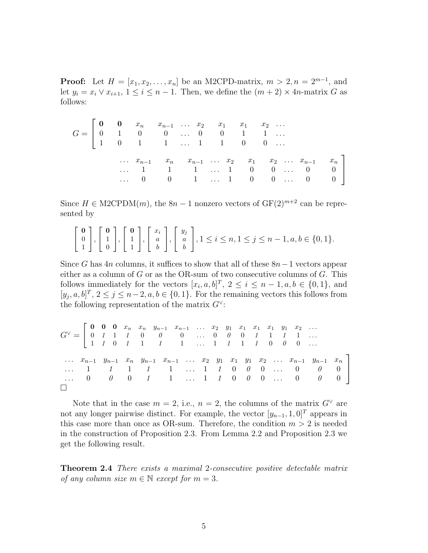**Proof:** Let  $H = [x_1, x_2, ..., x_n]$  be an M2CPD-matrix,  $m > 2, n = 2^{m-1}$ , and let  $y_i = x_i \vee x_{i+1}, 1 \leq i \leq n-1$ . Then, we define the  $(m+2) \times 4n$ -matrix G as follows:

|  |  | $G = \begin{bmatrix} 0 & 0 & x_n & x_{n-1} & \dots & x_2 & x_1 & x_1 & x_2 & \dots \\ 0 & 1 & 0 & 0 & \dots & 0 & 0 & 1 & 1 & \dots \\ 1 & 0 & 1 & 1 & \dots & 1 & 1 & 0 & 0 & \dots \end{bmatrix}$ |  |  |  |                                                                                                                                                                                                                                            |
|--|--|-----------------------------------------------------------------------------------------------------------------------------------------------------------------------------------------------------|--|--|--|--------------------------------------------------------------------------------------------------------------------------------------------------------------------------------------------------------------------------------------------|
|  |  |                                                                                                                                                                                                     |  |  |  | $\begin{array}{ccccccccc} \dots & x_{n-1} & x_n & x_{n-1} & \dots & x_2 & x_1 & x_2 & \dots & x_{n-1} & x_n \\ \dots & 1 & 1 & 1 & \dots & 1 & 0 & 0 & \dots & 0 & 0 \\ \dots & 0 & 0 & 1 & \dots & 1 & 0 & 0 & \dots & 0 & 0 \end{array}$ |

Since  $H \in \text{M2CPDM}(m)$ , the  $8n - 1$  nonzero vectors of  $\text{GF}(2)^{m+2}$  can be represented by

$$
\begin{bmatrix} \mathbf{0} \\ 0 \\ 1 \end{bmatrix}, \begin{bmatrix} \mathbf{0} \\ 1 \\ 0 \end{bmatrix}, \begin{bmatrix} \mathbf{0} \\ 1 \\ 1 \end{bmatrix}, \begin{bmatrix} x_i \\ a \\ b \end{bmatrix}, \begin{bmatrix} y_j \\ a \\ b \end{bmatrix}, 1 \leq i \leq n, 1 \leq j \leq n-1, a, b \in \{0, 1\}.
$$

Since G has 4n columns, it suffices to show that all of these  $8n-1$  vectors appear either as a column of  $G$  or as the OR-sum of two consecutive columns of  $G$ . This follows immediately for the vectors  $[x_i, a, b]^T$ ,  $2 \le i \le n-1, a, b \in \{0, 1\}$ , and  $[y_j, a, b]^T$ ,  $2 \le j \le n-2, a, b \in \{0, 1\}$ . For the remaining vectors this follows from the following representation of the matrix  $G^{\vee}$ :

|        |  |  |  | $G^{\vee} = \begin{bmatrix} 0 & 0 & 0 & x_n & x_n & y_{n-1} & x_{n-1} & \dots & x_2 & y_1 & x_1 & x_1 & x_1 & y_1 & x_2 & \dots \\ 0 & 1 & 1 & 1 & 0 & 0 & 0 & \dots & 0 & 0 & 0 & 1 & 1 & 1 & \dots \\ 1 & 1 & 0 & 1 & 1 & 1 & 1 & 1 & \dots & 1 & 1 & 1 & 1 & 0 & 0 & 0 & \dots \end{bmatrix}$ |  |  |  |                                                                                                       |  |
|--------|--|--|--|--------------------------------------------------------------------------------------------------------------------------------------------------------------------------------------------------------------------------------------------------------------------------------------------------|--|--|--|-------------------------------------------------------------------------------------------------------|--|
|        |  |  |  |                                                                                                                                                                                                                                                                                                  |  |  |  | $x_{n-1}$ $y_{n-1}$ $x_n$ $y_{n-1}$ $x_{n-1}$ $x_2$ $y_1$ $x_1$ $y_1$ $x_2$ $x_{n-1}$ $y_{n-1}$ $x_n$ |  |
|        |  |  |  |                                                                                                                                                                                                                                                                                                  |  |  |  | $\cdots$ 1 1 1 1 1 $\cdots$ 1 1 0 0 0 $\cdots$ 0 0 0 0                                                |  |
|        |  |  |  |                                                                                                                                                                                                                                                                                                  |  |  |  | $\ldots$ 0 0 0 1 1 $\ldots$ 1 1 0 0 0 $\ldots$ 0 0 0 $\vert$                                          |  |
| $\Box$ |  |  |  |                                                                                                                                                                                                                                                                                                  |  |  |  |                                                                                                       |  |

Note that in the case  $m = 2$ , i.e.,  $n = 2$ , the columns of the matrix  $G^{\vee}$  are not any longer pairwise distinct. For example, the vector  $[y_{n-1}, 1, 0]^T$  appears in this case more than once as OR-sum. Therefore, the condition  $m > 2$  is needed in the construction of Proposition 2.3. From Lemma 2.2 and Proposition 2.3 we get the following result.

Theorem 2.4 There exists a maximal 2-consecutive positive detectable matrix of any column size  $m \in \mathbb{N}$  except for  $m = 3$ .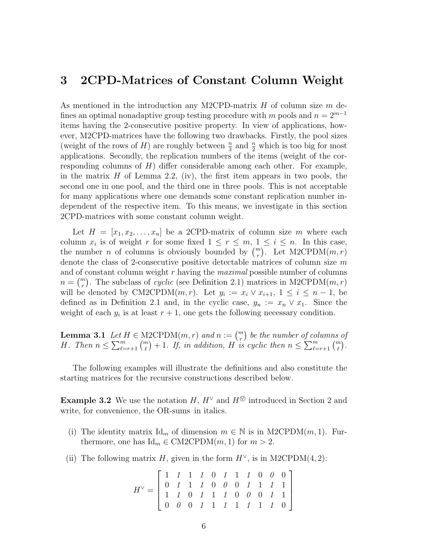#### 3 2CPD-Matrices of Constant Column Weight

As mentioned in the introduction any M2CPD-matrix  $H$  of column size  $m$  defines an optimal nonadaptive group testing procedure with m pools and  $n = 2^{m-1}$ items having the 2-consecutive positive property. In view of applications, however, M2CPD-matrices have the following two drawbacks. Firstly, the pool sizes (weight of the rows of H) are roughly between  $\frac{n}{3}$  and  $\frac{n}{2}$  which is too big for most applications. Secondly, the replication numbers of the items (weight of the corresponding columns of  $H$ ) differ considerable among each other. For example, in the matrix  $H$  of Lemma 2.2, (iv), the first item appears in two pools, the second one in one pool, and the third one in three pools. This is not acceptable for many applications where one demands some constant replication number independent of the respective item. To this means, we investigate in this section 2CPD-matrices with some constant column weight.

Let  $H = [x_1, x_2, \ldots, x_n]$  be a 2CPD-matrix of column size m where each column  $x_i$  is of weight r for some fixed  $1 \leq r \leq m, 1 \leq i \leq n$ . In this case, column  $x_i$  is or weight r for some fixed  $1 \le r \le m$ ,  $1 \le i \le n$ . In this case,<br>the number n of columns is obviously bounded by  $\binom{m}{r}$ . Let M2CPDM $(m, r)$ denote the class of 2-consecutive positive detectable matrices of column size  $m$ and of constant column weight r having the *maximal* possible number of columns<br> $r = {m \choose m}$ . The subglass of *qualia* (see Definition 2.1) matrices in M2CPDM(m, r)  $n = \binom{m}{r}$ . The subclass of *cyclic* (see Definition 2.1) matrices in M2CPDM $(m, r)$ will be denoted by  $CM2CPDM(m,r)$ . Let  $y_i := x_i \vee x_{i+1}, 1 \leq i \leq n-1$ , be defined as in Definition 2.1 and, in the cyclic case,  $y_n := x_n \vee x_1$ . Since the weight of each  $y_i$  is at least  $r + 1$ , one gets the following necessary condition.

**Lemma 3.1** Let  $H \in \text{M2CPDM}(m, r)$  and  $n := \binom{m}{r}$ ¢ be the number of columns of **Lemma 3.1** Let  $H \in \mathbb{N}$ <br>H. Then  $n \leq \sum_{\ell=r+1}^{m} \binom{m}{\ell}$  $\frac{2}{1}$  $\mathcal{L}$ PD $M(m,r)$  and  $n := {r \choose r}$  be the number of columns<br>+1. If, in addition, H is cyclic then  $n \leq \sum_{\ell=r+1}^{m} {m \choose \ell}$  $\frac{O}{\sqrt{2}}$ .

The following examples will illustrate the definitions and also constitute the starting matrices for the recursive constructions described below.

Example 3.2 We use the notation H,  $H^{\vee}$  and  $H^{\otimes}$  introduced in Section 2 and write, for convenience, the OR-sums in italics.

- (i) The identity matrix  $\mathrm{Id}_m$  of dimension  $m \in \mathbb{N}$  is in M2CPDM $(m, 1)$ . Furthermore, one has  $\mathrm{Id}_m \in \mathrm{CM2CPDM}(m,1)$  for  $m > 2$ .
- (ii) The following matrix H, given in the form  $H^{\vee}$ , is in M2CPDM(4, 2):

$$
H^{\vee} = \left[ \begin{array}{rrrrrrrr} 1 & 1 & 1 & 1 & 0 & 1 & 1 & 1 & 0 & 0 & 0 \\ 0 & 1 & 1 & 1 & 0 & 0 & 0 & 1 & 1 & 1 & 1 \\ 1 & 1 & 0 & 1 & 1 & 1 & 0 & 0 & 0 & 1 & 1 \\ 0 & 0 & 0 & 1 & 1 & 1 & 1 & 1 & 1 & 1 & 0 \end{array} \right]
$$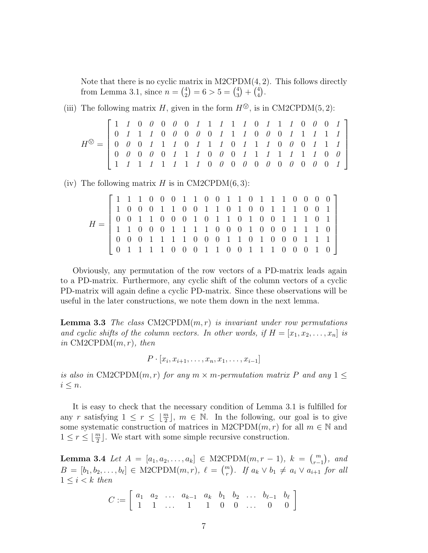Note that there is no cyclic matrix in  $M2CPDM(4, 2)$ . This follows directly from Lemma 3.1, since  $n =$ n:<br>14 2  $\mu$ trix in M2CP1<br> $= 6 > 5 = \binom{4}{3}$ 3  $\overline{\phantom{a}}$  $+$  $\frac{4}{14}$ 4  $\mathbf{C}^{\mathbf{A}}$ .

#### (iii) The following matrix H, given in the form  $H^{\odot}$ , is in CM2CPDM(5, 2):

$$
H^{\bigotimes} = \left[ \begin{array}{cccccccccccccccc} 1 & 1 & 0 & 0 & 0 & 0 & 0 & 1 & 1 & 1 & 1 & 0 & 1 & 1 & 1 & 0 & 0 & 0 & 1 \\ 0 & 1 & 1 & 1 & 0 & 0 & 0 & 0 & 0 & 1 & 1 & 1 & 0 & 0 & 0 & 1 & 1 & 1 & 1 \\ 0 & 0 & 0 & 1 & 1 & 1 & 0 & 1 & 1 & 1 & 0 & 1 & 1 & 1 & 0 & 0 & 0 & 1 & 1 & 1 \\ 0 & 0 & 0 & 0 & 0 & 1 & 1 & 1 & 0 & 0 & 0 & 1 & 1 & 1 & 1 & 1 & 1 & 0 & 0 \\ 1 & 1 & 1 & 1 & 1 & 1 & 1 & 1 & 0 & 0 & 0 & 0 & 0 & 0 & 0 & 0 & 0 & 0 & 1 \end{array} \right]
$$

(iv) The following matrix H is in  $CM2CPDM(6, 3)$ :

| $\left[\begin{array}{cccccccccccccccc} 1 & 1 & 1 & 0 & 0 & 0 & 1 & 1 & 0 & 0 & 1 & 1 & 0 & 1 & 1 & 1 & 0 & 0 & 0 & 0\\ 1 & 0 & 0 & 0 & 1 & 1 & 0 & 0 & 1 & 1 & 0 & 1 & 0 & 0 & 1 & 1 & 1 & 0 & 0 & 1\\ 0 & 0 & 1 & 1 & 0 & 0 & 0 & 1 & 0 & 1 & 1 & 0 & 1 & 0 & 0 & 1 & 1 & 1 & 0 & 1\\ 1 & 1 & 0 & 0 & 0 & 1 & 1 & 1 & 1 & $<br>$H = 1$ |  |  |  |  |  |  |  |  |  |  |  |
|-----------------------------------------------------------------------------------------------------------------------------------------------------------------------------------------------------------------------------------------------------------------------------------------------------------------------------------------|--|--|--|--|--|--|--|--|--|--|--|
|                                                                                                                                                                                                                                                                                                                                         |  |  |  |  |  |  |  |  |  |  |  |
|                                                                                                                                                                                                                                                                                                                                         |  |  |  |  |  |  |  |  |  |  |  |
|                                                                                                                                                                                                                                                                                                                                         |  |  |  |  |  |  |  |  |  |  |  |
|                                                                                                                                                                                                                                                                                                                                         |  |  |  |  |  |  |  |  |  |  |  |
|                                                                                                                                                                                                                                                                                                                                         |  |  |  |  |  |  |  |  |  |  |  |

Obviously, any permutation of the row vectors of a PD-matrix leads again to a PD-matrix. Furthermore, any cyclic shift of the column vectors of a cyclic PD-matrix will again define a cyclic PD-matrix. Since these observations will be useful in the later constructions, we note them down in the next lemma.

**Lemma 3.3** The class  $CM2CPDM(m, r)$  is invariant under row permutations and cyclic shifts of the column vectors. In other words, if  $H = [x_1, x_2, \ldots, x_n]$  is in  $CM2CPDM(m, r)$ , then

 $P\cdot [x_i, x_{i+1}, \ldots, x_n, x_1, \ldots, x_{i-1}]$ 

is also in CM2CPDM $(m, r)$  for any  $m \times m$ -permutation matrix P and any  $1 \leq$  $i \leq n$ .

It is easy to check that the necessary condition of Lemma 3.1 is fulfilled for any r satisfying  $1 \leq r \leq \lfloor \frac{m}{2} \rfloor$ ,  $m \in \mathbb{N}$ . In the following, our goal is to give some systematic construction of matrices in M2CPDM $(m, r)$  for all  $m \in \mathbb{N}$  and  $1 \leq r \leq \lfloor \frac{m}{2} \rfloor$ . We start with some simple recursive construction.

Lemma 3.4 Let  $A = [a_1, a_2, \ldots, a_k] \in \text{M2CPDM}(m, r-1), k = \binom{m}{r-1}$ r−1 ¢ , and **But EXECUTE:**  $B = [b_1, b_2, \dots, b_\ell] \in \text{M2CPDM}(m, r), \ell = {m \choose r}$ r ¢ . If  $a_k ∨ b_1 ≠ a_i ∨ a_{i+1}$  for all  $1 \leq i < k$  then

$$
C := \left[ \begin{array}{cccccc} a_1 & a_2 & \dots & a_{k-1} & a_k & b_1 & b_2 & \dots & b_{\ell-1} & b_{\ell} \\ 1 & 1 & \dots & 1 & 1 & 0 & 0 & \dots & 0 & 0 \end{array} \right]
$$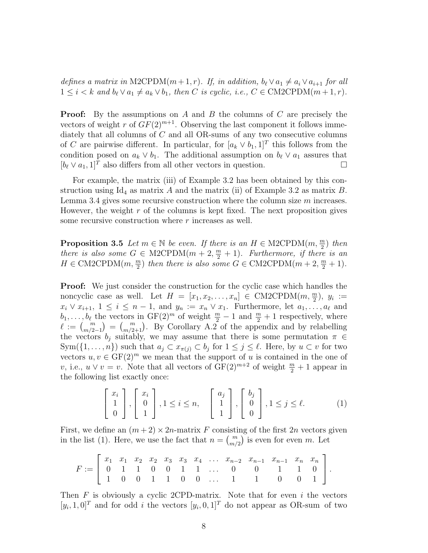defines a matrix in M2CPDM $(m+1, r)$ . If, in addition,  $b_{\ell} \vee a_1 \neq a_i \vee a_{i+1}$  for all  $1 \leq i \leq k$  and  $b_{\ell} \vee a_1 \neq a_k \vee b_1$ , then C is cyclic, i.e.,  $C \in \text{CM2CPDM}(m + 1, r)$ .

**Proof:** By the assumptions on A and B the columns of C are precisely the vectors of weight r of  $GF(2)^{m+1}$ . Observing the last component it follows immediately that all columns of C and all OR-sums of any two consecutive columns of C are pairwise different. In particular, for  $[a_k \vee b_1, 1]^T$  this follows from the condition posed on  $a_k \vee b_1$ . The additional assumption on  $b_\ell \vee a_1$  assures that  $[b_\ell \vee a_1, 1]^T$  also differs from all other vectors in question.  $\Box$ 

For example, the matrix (iii) of Example 3.2 has been obtained by this construction using  $Id_4$  as matrix A and the matrix (ii) of Example 3.2 as matrix B. Lemma 3.4 gives some recursive construction where the column size  $m$  increases. However, the weight  $r$  of the columns is kept fixed. The next proposition gives some recursive construction where r increases as well.

**Proposition 3.5** Let  $m \in \mathbb{N}$  be even. If there is an  $H \in \text{M2CPDM}(m, \frac{m}{2})$  then there is also some  $G \in \text{M2CPDM}(m+2, \frac{m}{2}+1)$ . Furthermore, if there is an  $H \in \text{CM2CPDM}(m, \frac{m}{2})$  then there is also some  $G \in \text{CM2CPDM}(m + 2, \frac{m}{2} + 1)$ .

Proof: We just consider the construction for the cyclic case which handles the noncyclic case as well. Let  $H = [x_1, x_2, \ldots, x_n] \in CM2CPDM(m, \frac{m}{2}), y_i :=$  $x_i \vee x_{i+1}, 1 \leq i \leq n-1$ , and  $y_n := x_n \vee x_1$ . Furthermore, let  $a_1, \ldots, a_\ell$  and  $b_1, \ldots, b_\ell$  the vectors in GF(2)<sup>m</sup> of weight  $\frac{m}{2} - 1$  and  $\frac{m}{2} + 1$  respectively, where  $\ell := {m \choose m/2-1} = {m \choose m/2+1}$ . By Corollary A.2 of the appendix and by relabelling ¢ vectors in GF(2)<sup>*m*</sup> or weight  $\frac{m}{2} - 1$  and  $\frac{m}{2} + 1$  respectively, where  $= {m \choose m/2+1}$ . By Corollary A.2 of the appendix and by relabelling the vectors  $b_j$  suitably, we may assume that there is some permutation  $\pi \in$  $\text{Sym}(\{1,\ldots,n\})$  such that  $a_j \subset x_{\pi(j)} \subset b_j$  for  $1 \leq j \leq \ell$ . Here, by  $u \subset v$  for two vectors  $u, v \in \mathrm{GF}(2)^m$  we mean that the support of u is contained in the one of v, i.e.,  $u \vee v = v$ . Note that all vectors of  $GF(2)^{m+2}$  of weight  $\frac{m}{2} + 1$  appear in the following list exactly once:

$$
\begin{bmatrix} x_i \\ 1 \\ 0 \end{bmatrix}, \begin{bmatrix} x_i \\ 0 \\ 1 \end{bmatrix}, 1 \le i \le n, \quad \begin{bmatrix} a_j \\ 1 \\ 1 \end{bmatrix}, \begin{bmatrix} b_j \\ 0 \\ 0 \end{bmatrix}, 1 \le j \le \ell.
$$
 (1)

First, we define an  $(m+2) \times 2n$ -matrix F consisting of the first  $2n$  vectors given First, we define an  $(m+2) \times 2n$ -matrix F consistion<br>in the list (1). Here, we use the fact that  $n = {m \choose m}$  $\binom{m}{m/2}$  is even for even m. Let

$$
F := \left[ \begin{array}{ccccccccccccc} x_1 & x_1 & x_2 & x_2 & x_3 & x_3 & x_4 & \dots & x_{n-2} & x_{n-1} & x_{n-1} & x_n & x_n \\ 0 & 1 & 1 & 0 & 0 & 1 & 1 & \dots & 0 & 0 & 1 & 1 & 0 \\ 1 & 0 & 0 & 1 & 1 & 0 & 0 & \dots & 1 & 1 & 0 & 0 & 1 \end{array} \right].
$$

Then  $F$  is obviously a cyclic 2CPD-matrix. Note that for even  $i$  the vectors  $[y_i, 1, 0]^T$  and for odd i the vectors  $[y_i, 0, 1]^T$  do not appear as OR-sum of two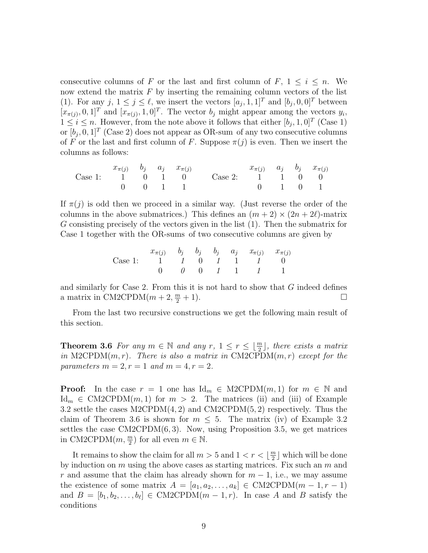consecutive columns of F or the last and first column of F,  $1 \leq i \leq n$ . We now extend the matrix  $F$  by inserting the remaining column vectors of the list (1). For any  $j, 1 \leq j \leq \ell$ , we insert the vectors  $[a_j, 1, 1]^T$  and  $[b_j, 0, 0]^T$  between  $[x_{\pi(j)}, 0, 1]^T$  and  $[x_{\pi(j)}, 1, 0]^T$ . The vector  $b_j$  might appear among the vectors  $y_i$ ,  $1 \leq i \leq n$ . However, from the note above it follows that either  $[b_j, 1, 0]^T$  (Case 1) or  $[b_j, 0, 1]^T$  (Case 2) does not appear as OR-sum of any two consecutive columns of F or the last and first column of F. Suppose  $\pi(j)$  is even. Then we insert the columns as follows:

Case 1: 
$$
\begin{array}{ccccccccc}\nx_{\pi(j)} & b_j & a_j & x_{\pi(j)} & & x_{\pi(j)} & a_j & b_j & x_{\pi(j)} \\
1 & 0 & 1 & 0 & \text{Case 2:} & 1 & 1 & 0 & 0 \\
0 & 0 & 1 & 1 & & 0 & 1 & 0 & 1\n\end{array}
$$

If  $\pi(j)$  is odd then we proceed in a similar way. (Just reverse the order of the columns in the above submatrices.) This defines an  $(m + 2) \times (2n + 2\ell)$ -matrix G consisting precisely of the vectors given in the list (1). Then the submatrix for Case 1 together with the OR-sums of two consecutive columns are given by

Case 1: 
$$
\begin{array}{ccccccccc}\nx_{\pi(j)} & b_j & b_j & b_j & a_j & x_{\pi(j)} & x_{\pi(j)} \\
1 & 1 & 0 & 1 & 1 & 1 & 0 \\
0 & 0 & 0 & 1 & 1 & 1 & 1\n\end{array}
$$

and similarly for Case 2. From this it is not hard to show that  $G$  indeed defines a matrix in  $CM2CPDM(m+2, \frac{m}{2}+1)$ .

From the last two recursive constructions we get the following main result of this section.

**Theorem 3.6** For any  $m \in \mathbb{N}$  and any  $r, 1 \leq r \leq \lfloor \frac{m}{2} \rfloor$ , there exists a matrix in M2CPDM $(m, r)$ . There is also a matrix in CM2CPDM $(m, r)$  except for the parameters  $m = 2, r = 1$  and  $m = 4, r = 2$ .

**Proof:** In the case  $r = 1$  one has  $\mathrm{Id}_m \in \mathrm{M2CPDM}(m,1)$  for  $m \in \mathbb{N}$  and  $\mathrm{Id}_m \in \mathrm{CM2CPDM}(m,1)$  for  $m > 2$ . The matrices (ii) and (iii) of Example 3.2 settle the cases  $M2CPDM(4, 2)$  and  $CM2CPDM(5, 2)$  respectively. Thus the claim of Theorem 3.6 is shown for  $m \leq 5$ . The matrix (iv) of Example 3.2 settles the case  $CM2CPDM(6, 3)$ . Now, using Proposition 3.5, we get matrices in CM2CPDM $(m, \frac{m}{2})$  for all even  $m \in \mathbb{N}$ .

It remains to show the claim for all  $m > 5$  and  $1 < r < \frac{m}{2}$  $\frac{m}{2}$  which will be done by induction on  $m$  using the above cases as starting matrices. Fix such an  $m$  and r and assume that the claim has already shown for  $m-1$ , i.e., we may assume the existence of some matrix  $A = [a_1, a_2, \ldots, a_k] \in CM2CPDM(m-1, r-1)$ and  $B = [b_1, b_2, \ldots, b_\ell] \in \text{CM2CPDM}(m - 1, r)$ . In case A and B satisfy the conditions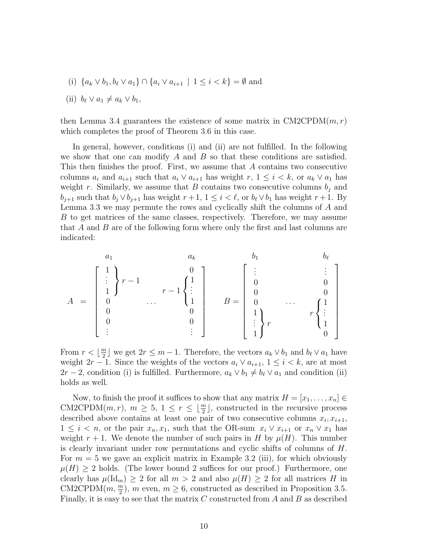(i)  $\{a_k \vee b_1, b_\ell \vee a_1\} \cap \{a_i \vee a_{i+1} \mid 1 \leq i \leq k\} = \emptyset$  and

(ii) 
$$
b_{\ell} \vee a_1 \neq a_k \vee b_1
$$
,

then Lemma 3.4 guarantees the existence of some matrix in  $CM2CPDM(m, r)$ which completes the proof of Theorem 3.6 in this case.

In general, however, conditions (i) and (ii) are not fulfilled. In the following we show that one can modify  $A$  and  $B$  so that these conditions are satisfied. This then finishes the proof. First, we assume that A contains two consecutive columns  $a_i$  and  $a_{i+1}$  such that  $a_i \vee a_{i+1}$  has weight  $r, 1 \leq i \leq k$ , or  $a_k \vee a_1$  has weight r. Similarly, we assume that B contains two consecutive columns  $b_j$  and  $b_{j+1}$  such that  $b_j \vee b_{j+1}$  has weight  $r+1$ ,  $1 \leq i \leq \ell$ , or  $b_{\ell} \vee b_1$  has weight  $r+1$ . By Lemma 3.3 we may permute the rows and cyclically shift the columns of A and B to get matrices of the same classes, respectively. Therefore, we may assume that A and B are of the following form where only the first and last columns are indicated:

$$
A = \begin{bmatrix} a_1 & a_k & b_1 & b_\ell \\ \vdots & \vdots & \vdots & \vdots \\ 1 & 1 & r-1 & 1 \\ 0 & \cdots & 1 & 1 \\ 0 & \cdots & 0 & 0 \\ 0 & 0 & 0 & 0 \\ \vdots & \vdots & \vdots & \vdots \end{bmatrix} \quad B = \begin{bmatrix} \vdots & & & \vdots & \vdots \\ 0 & & & 0 & 0 \\ 0 & & & \cdots & 0 \\ 1 & 1 & & & r \\ 1 & 1 & & & 0 \end{bmatrix}
$$

From  $r < \left\lfloor \frac{m}{2} \right\rfloor$  $\frac{n}{2}$  we get  $2r$  ≤ *m* − 1. Therefore, the vectors  $a_k \vee b_1$  and  $b_\ell \vee a_1$  have weight  $2r - 1$ . Since the weights of the vectors  $a_i \vee a_{i+1}, 1 \leq i \leq k$ , are at most  $2r-2$ , condition (i) is fulfilled. Furthermore,  $a_k \vee b_1 \neq b_\ell \vee a_1$  and condition (ii) holds as well.

Now, to finish the proof it suffices to show that any matrix  $H = |x_1, \ldots, x_n| \in$ CM2CPDM $(m, r)$ ,  $m \geq 5$ ,  $1 \leq r \leq \lfloor \frac{m}{2} \rfloor$ , constructed in the recursive process described above contains at least one pair of two consecutive columns  $x_i, x_{i+1}$ ,  $1 \leq i < n$ , or the pair  $x_n, x_1$ , such that the OR-sum  $x_i \vee x_{i+1}$  or  $x_n \vee x_1$  has weight  $r + 1$ . We denote the number of such pairs in H by  $\mu(H)$ . This number is clearly invariant under row permutations and cyclic shifts of columns of H. For  $m = 5$  we gave an explicit matrix in Example 3.2 (iii), for which obviously  $\mu(H) \geq 2$  holds. (The lower bound 2 suffices for our proof.) Furthermore, one clearly has  $\mu(\mathrm{Id}_m) \geq 2$  for all  $m > 2$  and also  $\mu(H) \geq 2$  for all matrices H in CM2CPDM $(m, \frac{m}{2})$ , m even,  $m \ge 6$ , constructed as described in Proposition 3.5. Finally, it is easy to see that the matrix  $C$  constructed from  $A$  and  $B$  as described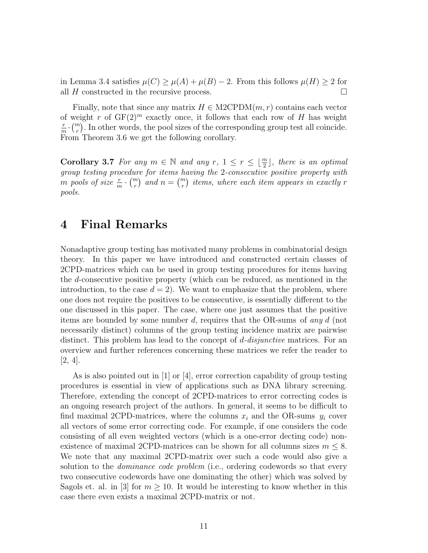in Lemma 3.4 satisfies  $\mu(C) \geq \mu(A) + \mu(B) - 2$ . From this follows  $\mu(H) \geq 2$  for all H constructed in the recursive process.  $\Box$ 

Finally, note that since any matrix  $H \in \text{M2CPDM}(m, r)$  contains each vector of weight r of  $GF(2)^m$  exactly once, it follows that each row of H has weight r or we $\frac{r}{m}$ . $\binom{m}{r}$  $\binom{n}{r}$ . In other words, the pool sizes of the corresponding group test all coincide. From Theorem 3.6 we get the following corollary.

**Corollary 3.7** For any  $m \in \mathbb{N}$  and any  $r, 1 \leq r \leq \lfloor \frac{m}{2} \rfloor$ , there is an optimal group testing procedure for items having the 2-consecutive positive property with<br> $\sum_{n=1}^{\infty}$  and  $\sum_{n=1}^{\infty}$  and  $\sum_{n=1}^{\infty}$  items where each item appears in exactly m m pools of size  $\frac{r}{m} \cdot {m \choose r}$  and  $n = {m \choose r}$  items, where each item appears in exactly r pools.

### 4 Final Remarks

Nonadaptive group testing has motivated many problems in combinatorial design theory. In this paper we have introduced and constructed certain classes of 2CPD-matrices which can be used in group testing procedures for items having the d-consecutive positive property (which can be reduced, as mentioned in the introduction, to the case  $d = 2$ . We want to emphasize that the problem, where one does not require the positives to be consecutive, is essentially different to the one discussed in this paper. The case, where one just assumes that the positive items are bounded by some number d, requires that the OR-sums of any  $d$  (not necessarily distinct) columns of the group testing incidence matrix are pairwise distinct. This problem has lead to the concept of d-disjunctive matrices. For an overview and further references concerning these matrices we refer the reader to [2, 4].

As is also pointed out in [1] or [4], error correction capability of group testing procedures is essential in view of applications such as DNA library screening. Therefore, extending the concept of 2CPD-matrices to error correcting codes is an ongoing research project of the authors. In general, it seems to be difficult to find maximal 2CPD-matrices, where the columns  $x_i$  and the OR-sums  $y_i$  cover all vectors of some error correcting code. For example, if one considers the code consisting of all even weighted vectors (which is a one-error decting code) nonexistence of maximal 2CPD-matrices can be shown for all columns sizes  $m \leq 8$ . We note that any maximal 2CPD-matrix over such a code would also give a solution to the dominance code problem (i.e., ordering codewords so that every two consecutive codewords have one dominating the other) which was solved by Sagols et. al. in [3] for  $m \geq 10$ . It would be interesting to know whether in this case there even exists a maximal 2CPD-matrix or not.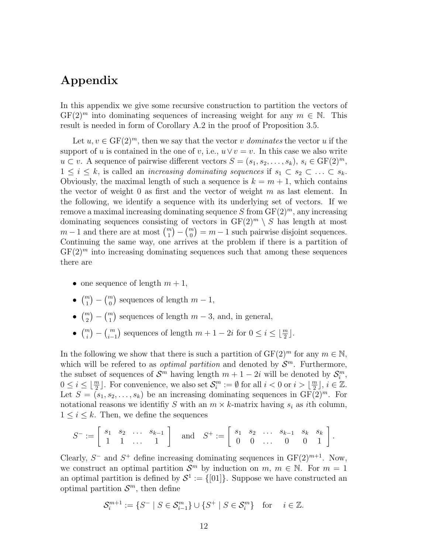# Appendix

In this appendix we give some recursive construction to partition the vectors of  $GF(2)<sup>m</sup>$  into dominating sequences of increasing weight for any  $m \in \mathbb{N}$ . This result is needed in form of Corollary A.2 in the proof of Proposition 3.5.

Let  $u, v \in \mathrm{GF}(2)^m$ , then we say that the vector v dominates the vector u if the support of u is contained in the one of v, i.e.,  $u \vee v = v$ . In this case we also write  $u \subset v$ . A sequence of pairwise different vectors  $S = (s_1, s_2, \ldots, s_k), s_i \in \mathrm{GF}(2)^m$ ,  $1 \leq i \leq k$ , is called an *increasing dominating sequences* if  $s_1 \subset s_2 \subset \ldots \subset s_k$ . Obviously, the maximal length of such a sequence is  $k = m + 1$ , which contains the vector of weight 0 as first and the vector of weight  $m$  as last element. In the following, we identify a sequence with its underlying set of vectors. If we remove a maximal increasing dominating sequence S from  $GF(2)<sup>m</sup>$ , any increasing dominating sequences consisting of vectors in  $GF(2)^m \setminus S$  has length at most dominating sequences consisting of  $m-1$  and there are at most  $\binom{m}{1} - \binom{m}{0}$  $\binom{m}{0} = m - 1$  such pairwise disjoint sequences. Continuing the same way, one arrives at the problem if there is a partition of  $GF(2)<sup>m</sup>$  into increasing dominating sequences such that among these sequences there are

- one sequence of length  $m + 1$ ,
- $\bullet$   $\binom{m}{1}$ 1 ¢  $\binom{m}{0}$  $\boldsymbol{0}$ ¢ sequences of length  $m-1$ ,
- $\bullet$   $\binom{m}{2}$ 2 ¢  $-\binom{m}{1}$ 1 ¢ sequences of length  $m-3$ , and, in general,
- $\bullet$   $\binom{m}{i}$ i ¢  $-\binom{m}{i}$ i−1 ¢ sequences of length  $m + 1 - 2i$  for  $0 \le i \le \lfloor \frac{m}{2} \rfloor$ .

In the following we show that there is such a partition of  $GF(2)^m$  for any  $m \in \mathbb{N}$ , which will be refered to as *optimal partition* and denoted by  $S<sup>m</sup>$ . Furthermore, the subset of sequences of  $\mathcal{S}^m$  having length  $m + 1 - 2i$  will be denoted by  $\mathcal{S}_i^m$ ,  $0 \leq i \leq \lfloor \frac{m}{2} \rfloor$ . For convenience, we also set  $\mathcal{S}_i^m := \emptyset$  for all  $i < 0$  or  $i > \lfloor \frac{m}{2} \rfloor$ .  $\frac{m}{2}$ ,  $i \in \mathbb{Z}$ . Let  $S = (s_1, s_2, \ldots, s_k)$  be an increasing dominating sequences in  $GF(2)^m$ . For notational reasons we identifiy S with an  $m \times k$ -matrix having  $s_i$  as ith column,  $1 \leq i \leq k$ . Then, we define the sequences

$$
S^- := \left[ \begin{array}{cccc} s_1 & s_2 & \dots & s_{k-1} \\ 1 & 1 & \dots & 1 \end{array} \right] \quad \text{and} \quad S^+ := \left[ \begin{array}{cccc} s_1 & s_2 & \dots & s_{k-1} & s_k & s_k \\ 0 & 0 & \dots & 0 & 0 & 1 \end{array} \right].
$$

Clearly,  $S^-$  and  $S^+$  define increasing dominating sequences in  $GF(2)^{m+1}$ . Now, we construct an optimal partition  $S^m$  by induction on  $m, m \in \mathbb{N}$ . For  $m = 1$ an optimal partition is defined by  $S^1 := \{01\}$ . Suppose we have constructed an optimal partition  $S^m$ , then define

$$
\mathcal{S}_i^{m+1} := \{ S^- \mid S \in \mathcal{S}_{i-1}^m \} \cup \{ S^+ \mid S \in \mathcal{S}_i^m \} \quad \text{for} \quad i \in \mathbb{Z}.
$$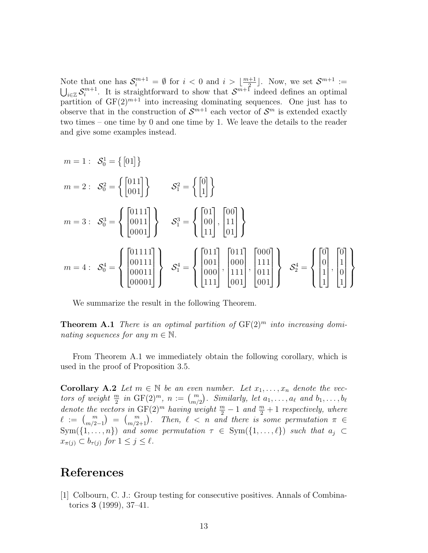Note that one has  $S_i^{m+1} = \emptyset$  for  $i < 0$  and  $i > \lfloor \frac{m+1}{2} \rfloor$ Note that one has  $\mathcal{S}_i^{m+1} = \emptyset$  for  $i < 0$  and  $i > \lfloor \frac{m+1}{2} \rfloor$ . Now, we set  $\mathcal{S}^{m+1} :=$  $_{i\in\mathbb{Z}}\mathcal{S}_{i}^{m+1}$  $\mathbb{S}^{m+1}$ . It is straightforward to show that  $\mathcal{S}^{m+1}$  indeed defines an optimal partition of  $GF(2)^{m+1}$  into increasing dominating sequences. One just has to observe that in the construction of  $S^{m+1}$  each vector of  $S^m$  is extended exactly two times – one time by 0 and one time by 1. We leave the details to the reader and give some examples instead.

$$
m = 1: \quad \mathcal{S}_0^1 = \{ [01] \}
$$
\n
$$
m = 2: \quad \mathcal{S}_0^2 = \left\{ \begin{bmatrix} 011 \\ 001 \end{bmatrix} \right\} \qquad \mathcal{S}_1^2 = \left\{ \begin{bmatrix} 0 \\ 1 \end{bmatrix} \right\}
$$
\n
$$
m = 3: \quad \mathcal{S}_0^3 = \left\{ \begin{bmatrix} 0111 \\ 0011 \\ 0001 \end{bmatrix} \right\} \qquad \mathcal{S}_1^3 = \left\{ \begin{bmatrix} 01 \\ 00 \\ 11 \end{bmatrix}, \begin{bmatrix} 00 \\ 11 \\ 01 \end{bmatrix} \right\}
$$
\n
$$
m = 4: \quad \mathcal{S}_0^4 = \left\{ \begin{bmatrix} 01111 \\ 00111 \\ 00011 \\ 00001 \end{bmatrix} \right\} \qquad \mathcal{S}_1^4 = \left\{ \begin{bmatrix} 011 \\ 001 \\ 000 \\ 111 \end{bmatrix}, \begin{bmatrix} 011 \\ 010 \\ 011 \\ 001 \end{bmatrix}, \begin{bmatrix} 000 \\ 111 \\ 011 \\ 001 \end{bmatrix} \right\} \qquad \mathcal{S}_2^4 = \left\{ \begin{bmatrix} 0 \\ 0 \\ 1 \\ 1 \end{bmatrix}, \begin{bmatrix} 0 \\ 1 \\ 0 \\ 1 \end{bmatrix} \right\}
$$

We summarize the result in the following Theorem.

**Theorem A.1** There is an optimal partition of  $GF(2)^{m}$  into increasing dominating sequences for any  $m \in \mathbb{N}$ .

From Theorem A.1 we immediately obtain the following corollary, which is used in the proof of Proposition 3.5.

Corollary A.2 Let  $m \in \mathbb{N}$  be an even number. Let  $x_1, \ldots, x_n$  denote the vec-**Corollary A.2** Let  $m \in \mathbb{N}$  be an even number. Let  $x_1, \ldots, x_n$  denote the vectors of weight  $\frac{m}{2}$  in  $GF(2)^m$ ,  $n := \binom{m}{m/2}$ . Similarly, let  $a_1, \ldots, a_\ell$  and  $b_1, \ldots, b_\ell$ denote the vectors in  $GF(2)^m$  having weight  $\frac{m}{2} - 1$  and  $\frac{m}{2} + 1$  respectively, where  $\ell := {m \choose m/2-1} = {m \choose m/2+1}$ . Then,  $\ell < n$  and there is some permutation  $\pi \in$ ¢ fors in GF(2)<sup>ar</sup> having weight  $\frac{n}{2} - 1$  and  $\frac{n}{2} + 1$  respectively, where<br>=  $\binom{m}{m/2+1}$ . Then,  $\ell < n$  and there is some permutation  $\pi \in$  $\text{Sym}(\{1,\ldots,n\})$  and some permutation  $\tau \in \text{Sym}(\{1,\ldots,\ell\})$  such that  $a_j \subset$  $x_{\pi(j)} \subset b_{\tau(j)}$  for  $1 \leq j \leq \ell$ .

#### References

[1] Colbourn, C. J.: Group testing for consecutive positives. Annals of Combinatorics 3 (1999), 37–41.